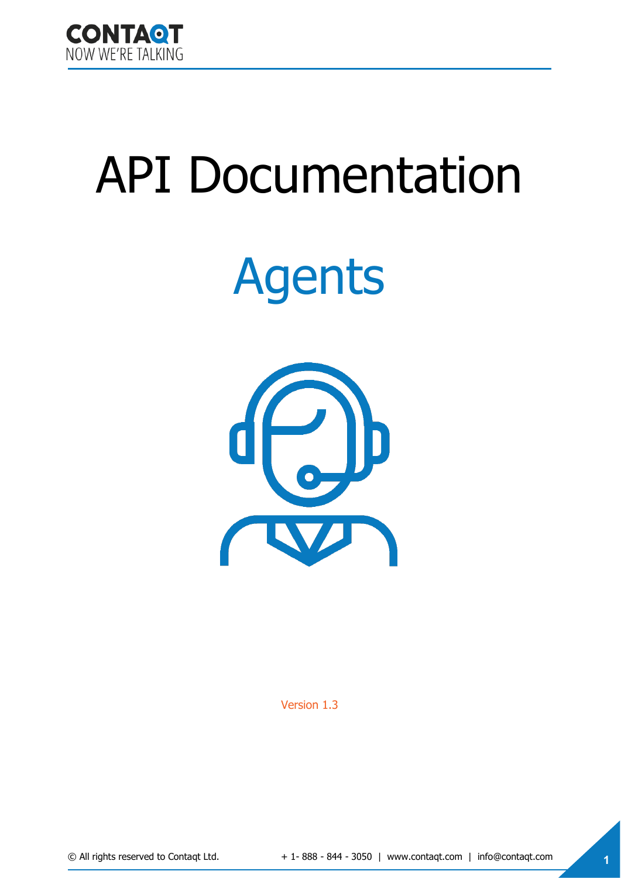

# API Documentation

# Agents



Version 1.3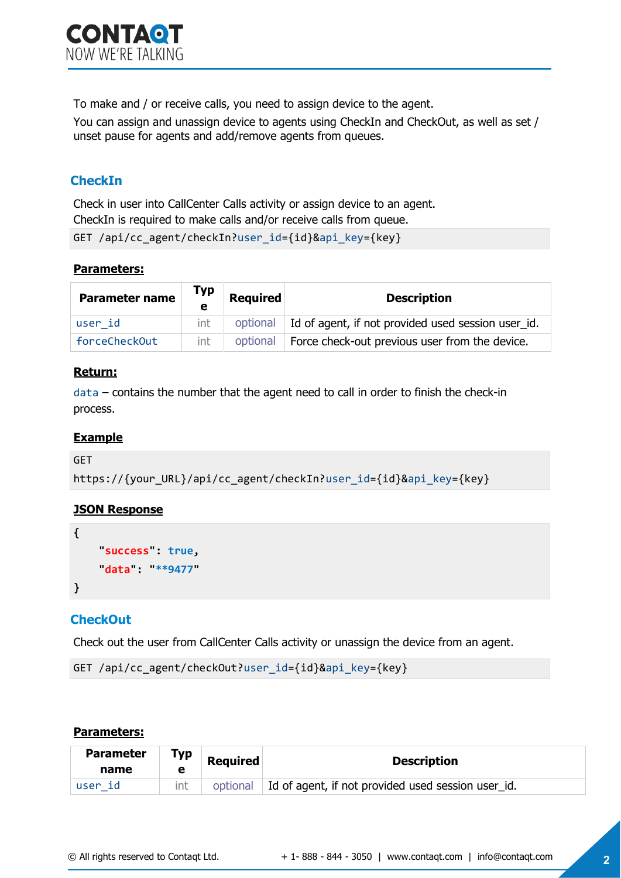To make and / or receive calls, you need to assign device to the agent.

You can assign and unassign device to agents using CheckIn and CheckOut, as well as set / unset pause for agents and add/remove agents from queues.

# **CheckIn**

Check in user into CallCenter Calls activity or assign device to an agent. CheckIn is required to make calls and/or receive calls from queue.

```
GET /api/cc_agent/checkIn?user_id={id}&api_key={key}
```
## **Parameters:**

| <b>Parameter name</b> | Тур | <b>Required</b> | <b>Description</b>                                            |
|-----------------------|-----|-----------------|---------------------------------------------------------------|
| user id               | int |                 | optional   Id of agent, if not provided used session user_id. |
| forceCheckOut         | int | optional        | Force check-out previous user from the device.                |

## **Return:**

data – contains the number that the agent need to call in order to finish the check-in process.

#### **Example**

```
GET 
https://{your_URL}/api/cc_agent/checkIn?user_id={id}&api_key={key}
```
## **JSON Response**

```
{
      "success": true, 
     "data": "**9477"
}
```
# **CheckOut**

Check out the user from CallCenter Calls activity or unassign the device from an agent.

```
GET /api/cc agent/checkOut?user id={id}&api key={key}
```
#### **Parameters:**

| <b>Parameter</b><br>name | Тур<br>е | <b>Required</b> | <b>Description</b>                                 |
|--------------------------|----------|-----------------|----------------------------------------------------|
| ∣user id                 |          | optional        | Id of agent, if not provided used session user id. |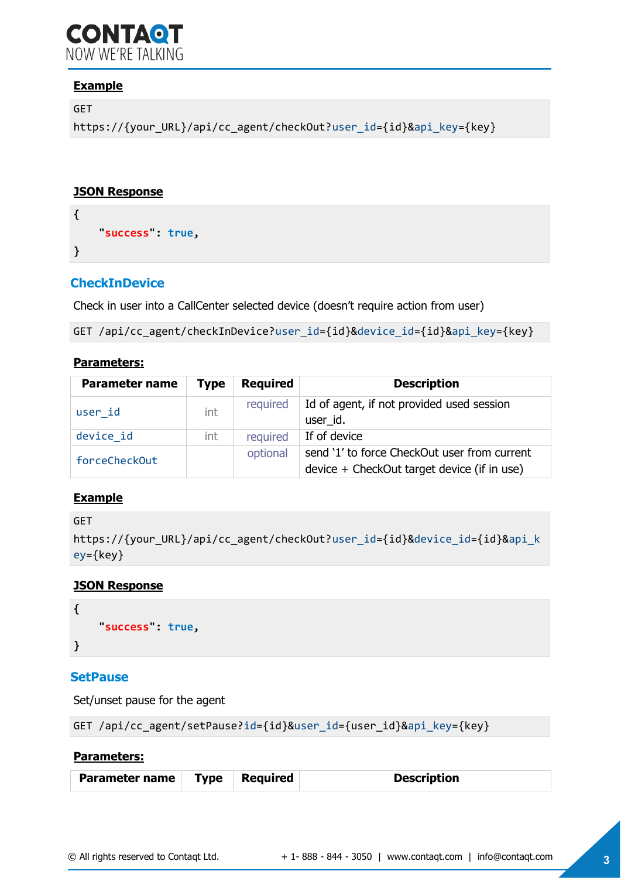# **CONTAQT** NOW WE'RE TAI KING

# **Example**

GET

```
https://{your_URL}/api/cc_agent/checkOut?user_id={id}&api_key={key}
```
#### **JSON Response**

```
{
      "success": true, 
}
```
# **CheckInDevice**

Check in user into a CallCenter selected device (doesn't require action from user)

```
GET /api/cc_agent/checkInDevice?user_id={id}&device_id={id}&api_key={key}
```
#### **Parameters:**

| <b>Parameter name</b> | <b>Type</b> | <b>Required</b> | <b>Description</b>                           |
|-----------------------|-------------|-----------------|----------------------------------------------|
| user id               | int         | required        | Id of agent, if not provided used session    |
|                       |             |                 | user id.                                     |
| device id             | int         | required        | If of device                                 |
| forceCheckOut         |             | optional        | send '1' to force CheckOut user from current |
|                       |             |                 | device + CheckOut target device (if in use)  |

#### **Example**

```
GET 
https://{your_URL}/api/cc_agent/checkOut?user_id={id}&device_id={id}&api_k
ey={key}
```
#### **JSON Response**

```
{
      "success": true, 
}
```
#### **SetPause**

Set/unset pause for the agent

GET /api/cc agent/setPause?id={id}&user\_id={user\_id}&api\_key={key}

#### **Parameters:**

| Parameter name   Type   Required<br><b>Description</b> |  |
|--------------------------------------------------------|--|
|--------------------------------------------------------|--|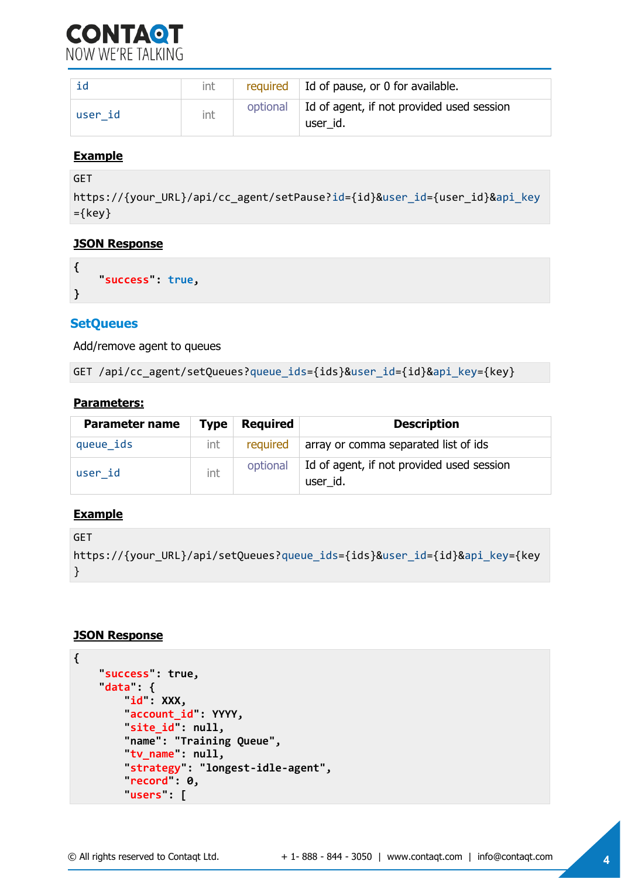

|         | int | required $\vert$ Id of pause, or 0 for available.                |
|---------|-----|------------------------------------------------------------------|
| user id | int | optional   Id of agent, if not provided used session<br>user id. |

#### **Example**

```
GET
https://{your_URL}/api/cc_agent/setPause?id={id}&user_id={user_id}&api_key
=\{key\}
```
#### **JSON Response**

```
{
      "success": true, 
}
```
#### **SetQueues**

Add/remove agent to queues

```
GET /api/cc agent/setQueues?queue ids={ids}&user id={id}&api key={key}
```
#### **Parameters:**

| <b>Parameter name</b> | <b>Type</b> | <b>Required</b> | <b>Description</b>                                    |
|-----------------------|-------------|-----------------|-------------------------------------------------------|
| queue_ids             | int         |                 | required array or comma separated list of ids         |
| user id               | int         | optional        | Id of agent, if not provided used session<br>user_id. |

#### **Example**

```
GET 
https://{your_URL}/api/setQueues?queue_ids={ids}&user_id={id}&api_key={key
}
```
#### **JSON Response**

```
{
     "success": true, 
     "data": {
        id": XXX,
         "account_id": YYYY, 
        site id": null,
         "name": "Training Queue", 
         "tv_name": null, 
         "strategy": "longest-idle-agent", 
         "record": 0, 
         "users": [
```